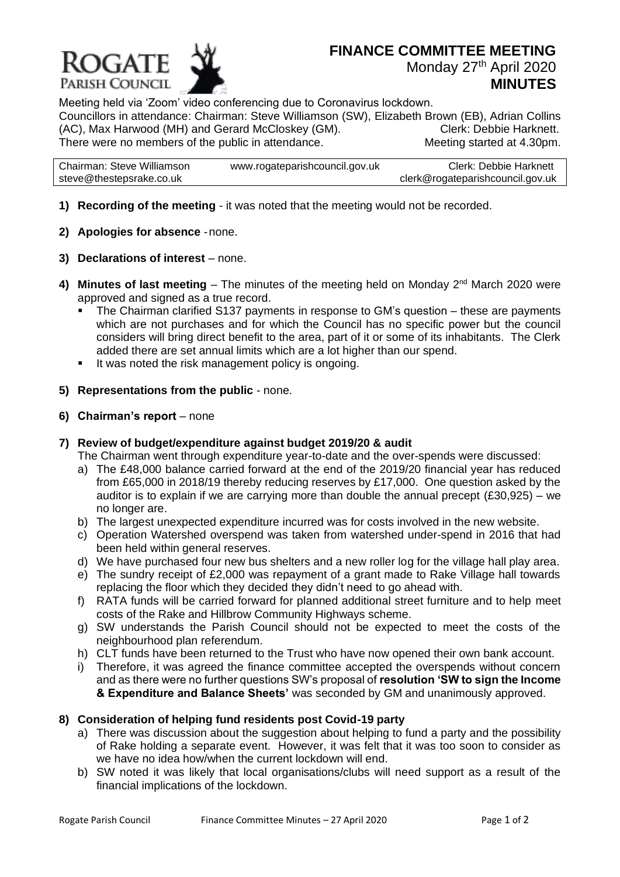

## **FINANCE COMMITTEE MEETING** Monday 27<sup>th</sup> April 2020

**MINUTES**

Meeting held via 'Zoom' video conferencing due to Coronavirus lockdown. Councillors in attendance: Chairman: Steve Williamson (SW), Elizabeth Brown (EB), Adrian Collins (AC), Max Harwood (MH) and Gerard McCloskey (GM). Clerk: Debbie Harknett.

There were no members of the public in attendance. Meeting started at 4.30pm.

| Chairman: Steve Williamson | www.rogateparishcouncil.gov.uk | Clerk: Debbie Harknett           |
|----------------------------|--------------------------------|----------------------------------|
| steve@thestepsrake.co.uk   |                                | clerk@rogateparishcouncil.gov.uk |

- **1) Recording of the meeting** it was noted that the meeting would not be recorded.
- **2) Apologies for absence** -none.
- **3) Declarations of interest** none.
- 4) Minutes of last meeting The minutes of the meeting held on Monday 2<sup>nd</sup> March 2020 were approved and signed as a true record.
	- The Chairman clarified S137 payments in response to GM's question these are payments which are not purchases and for which the Council has no specific power but the council considers will bring direct benefit to the area, part of it or some of its inhabitants. The Clerk added there are set annual limits which are a lot higher than our spend.
	- It was noted the risk management policy is ongoing.
- **5) Representations from the public** none.
- **6) Chairman's report** none

## **7) Review of budget/expenditure against budget 2019/20 & audit**

- The Chairman went through expenditure year-to-date and the over-spends were discussed:
- a) The £48,000 balance carried forward at the end of the 2019/20 financial year has reduced from £65,000 in 2018/19 thereby reducing reserves by £17,000. One question asked by the auditor is to explain if we are carrying more than double the annual precept (£30,925) – we no longer are.
- b) The largest unexpected expenditure incurred was for costs involved in the new website.
- c) Operation Watershed overspend was taken from watershed under-spend in 2016 that had been held within general reserves.
- d) We have purchased four new bus shelters and a new roller log for the village hall play area.
- e) The sundry receipt of £2,000 was repayment of a grant made to Rake Village hall towards replacing the floor which they decided they didn't need to go ahead with.
- f) RATA funds will be carried forward for planned additional street furniture and to help meet costs of the Rake and Hillbrow Community Highways scheme.
- g) SW understands the Parish Council should not be expected to meet the costs of the neighbourhood plan referendum.
- h) CLT funds have been returned to the Trust who have now opened their own bank account.
- i) Therefore, it was agreed the finance committee accepted the overspends without concern and as there were no further questions SW's proposal of **resolution 'SW to sign the Income & Expenditure and Balance Sheets'** was seconded by GM and unanimously approved.

## **8) Consideration of helping fund residents post Covid-19 party**

- a) There was discussion about the suggestion about helping to fund a party and the possibility of Rake holding a separate event. However, it was felt that it was too soon to consider as we have no idea how/when the current lockdown will end.
- b) SW noted it was likely that local organisations/clubs will need support as a result of the financial implications of the lockdown.